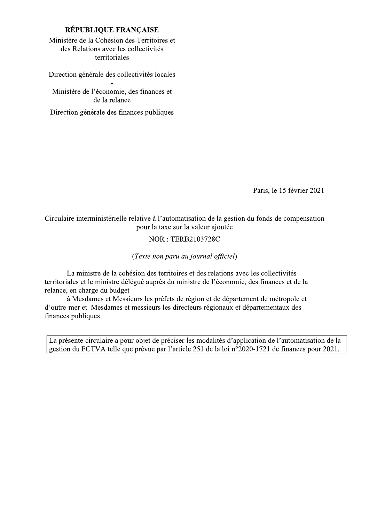# RÉPUBLIQUE FRANÇAISE

Ministère de la Cohésion des Territoires et des Relations avec les collectivités territoriales

Direction générale des collectivités locales

Ministère de l'économie, des finances et de la relance

Direction générale des finances publiques

Paris, le 15 février 2021

Circulaire interministérielle relative à l'automatisation de la gestion du fonds de compensation pour la taxe sur la valeur ajoutée

# **NOR: TERB2103728C**

(Texte non paru au journal officiel)

La ministre de la cohésion des territoires et des relations avec les collectivités territoriales et le ministre délégué auprès du ministre de l'économie, des finances et de la relance, en charge du budget

à Mesdames et Messieurs les préfets de région et de département de métropole et d'outre-mer et Mesdames et messieurs les directeurs régionaux et départementaux des finances publiques

La présente circulaire a pour objet de préciser les modalités d'application de l'automatisation de la gestion du FCTVA telle que prévue par l'article 251 de la loi n°2020-1721 de finances pour 2021.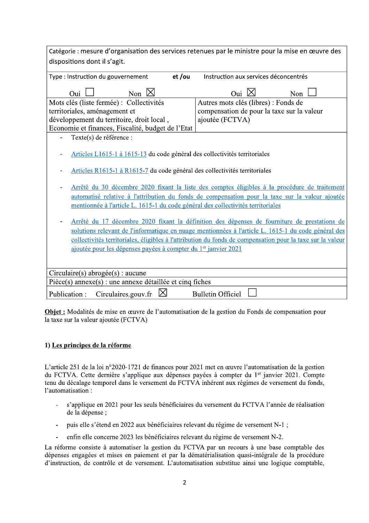|                                                                                                            | Catégorie : mesure d'organisation des services retenues par le ministre pour la mise en œuvre des   |  |  |  |  |  |
|------------------------------------------------------------------------------------------------------------|-----------------------------------------------------------------------------------------------------|--|--|--|--|--|
| dispositions dont il s'agit.                                                                               |                                                                                                     |  |  |  |  |  |
| et/ou<br>Type : Instruction du gouvernement                                                                | Instruction aux services déconcentrés                                                               |  |  |  |  |  |
| Non $\boxtimes$<br>Oui $\Box$                                                                              | Oui $\boxtimes$<br>Non                                                                              |  |  |  |  |  |
| Mots clés (liste fermée) : Collectivités                                                                   | Autres mots clés (libres) : Fonds de                                                                |  |  |  |  |  |
| territoriales, aménagement et                                                                              | compensation de pour la taxe sur la valeur                                                          |  |  |  |  |  |
| développement du territoire, droit local,                                                                  | ajoutée (FCTVA)                                                                                     |  |  |  |  |  |
| Economie et finances, Fiscalité, budget de l'Etat                                                          |                                                                                                     |  |  |  |  |  |
| Texte(s) de référence :                                                                                    |                                                                                                     |  |  |  |  |  |
| Articles L1615-1 à 1615-13 du code général des collectivités territoriales                                 |                                                                                                     |  |  |  |  |  |
| Articles R1615-1 à R1615-7 du code général des collectivités territoriales                                 |                                                                                                     |  |  |  |  |  |
|                                                                                                            | Arrêté du 30 décembre 2020 fixant la liste des comptes éligibles à la procédure de traitement       |  |  |  |  |  |
| automatisé relative à l'attribution du fonds de compensation pour la taxe sur la valeur ajoutée            |                                                                                                     |  |  |  |  |  |
| mentionnée à l'article L. 1615-1 du code général des collectivités territoriales                           |                                                                                                     |  |  |  |  |  |
|                                                                                                            |                                                                                                     |  |  |  |  |  |
|                                                                                                            | Arrêté du 17 décembre 2020 fixant la définition des dépenses de fourniture de prestations de        |  |  |  |  |  |
|                                                                                                            | solutions relevant de l'informatique en nuage mentionnées à l'article L. 1615-1 du code général des |  |  |  |  |  |
| collectivités territoriales, éligibles à l'attribution du fonds de compensation pour la taxe sur la valeur |                                                                                                     |  |  |  |  |  |
| ajoutée pour les dépenses payées à compter du 1 <sup>er</sup> janvier 2021                                 |                                                                                                     |  |  |  |  |  |
|                                                                                                            |                                                                                                     |  |  |  |  |  |
| Circulaire(s) abrogée(s) : aucune                                                                          |                                                                                                     |  |  |  |  |  |
| $Pi\text{èce}(s)$ annexe $(s)$ : une annexe détaillée et cinq fiches                                       |                                                                                                     |  |  |  |  |  |
| Circulaires.gouv.fr<br>Publication:                                                                        | <b>Bulletin Officiel</b>                                                                            |  |  |  |  |  |

**Objet :** Modalités de mise en œuvre de l'automatisation de la gestion du Fonds de compensation pour la taxe sur la valeur ajoutée (FCTVA)

### 1) Les principes de la réforme

L'article 251 de la loi n°2020-1721 de finances pour 2021 met en œuvre l'automatisation de la gestion du FCTVA. Cette dernière s'applique aux dépenses payées à compter du 1<sup>er</sup> janvier 2021. Compte tenu du décalage temporel dans le versement du FCTVA inhérent aux régimes de versement du fonds, l'automatisation : L'article 251 de la loi n°2020-1721 de finances pour 2021 met en œuvre l'automatisation de la gestion<br>du FCTVA. Cette dernière s'applique aux dépenses payées à compter du 1<sup>er</sup> janvier 2021. Compte<br>tenu du décalage tempore

- s'applique en 2021 pour les seuls bénéficiaires du versement du FCTVA l'année de réalisation de la dépense :
- 
-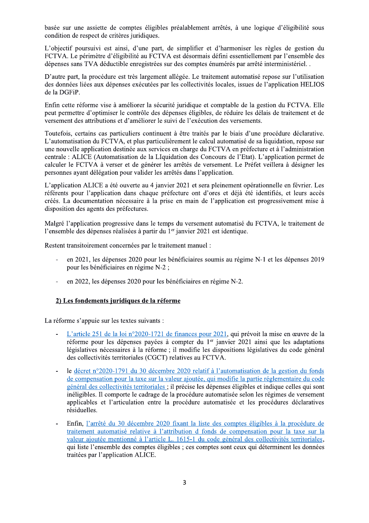basée sur une assiette de comptes éligibles préalablement arrêtés, à une logique d'éligibilité sous condition de respect de critères juridiques.

L'objectif poursuivi est ainsi, d'une part, de simplifier et d'harmoniser les règles de gestion du FCTVA. Le périmètre d'éligibilité au FCTVA est désormais défini essentiellement par l'ensemble des dépenses sans TVA déductible enregistrées sur des comptes énumérés par arrêté interministériel..

D'autre part, la procédure est très largement allégée. Le traitement automatisé repose sur l'utilisation des données liées aux dépenses exécutées par les collectivités locales, issues de l'application HELIOS de la DGFiP.

Enfin cette réforme vise à améliorer la sécurité juridique et comptable de la gestion du FCTVA. Elle peut permettre d'optimiser le contrôle des dépenses éligibles, de réduire les délais de traitement et de versement des attributions et d'améliorer le suivi de l'exécution des versements.

Toutefois, certains cas particuliers continuent à être traités par le biais d'une procédure déclarative. L'automatisation du FCTVA, et plus particulièrement le calcul automatisé de sa liquidation, repose sur une nouvelle application destinée aux services en charge du FCTVA en préfecture et à l'administration centrale : ALICE (Automatisation de la LIquidation des Concours de l'Etat). L'application permet de calculer le FCTVA à verser et de générer les arrêtés de versement. Le Préfet veillera à désigner les personnes ayant délégation pour valider les arrêtés dans l'application.

L'application ALICE a été ouverte au 4 janvier 2021 et sera pleinement opérationnelle en février. Les référents pour l'application dans chaque préfecture ont d'ores et déjà été identifiés, et leurs accès créés. La documentation nécessaire à la prise en main de l'application est progressivement mise à disposition des agents des préfectures.

Malgré l'application progressive dans le temps du versement automatisé du FCTVA, le traitement de l'ensemble des dépenses réalisées à partir du 1<sup>er</sup> janvier 2021 est identique.

Restent transitoirement concernées par le traitement manuel :

- en 2021, les dépenses 2020 pour les bénéficiaires soumis au régime N-1 et les dépenses 2019 pour les bénéficiaires en régime N-2;
- en 2022, les dépenses 2020 pour les bénéficiaires en régime N-2.

# 2) Les fondements juridiques de la réforme

La réforme s'appuie sur les textes suivants :

- L'article 251 de la loi n°2020-1721 de finances pour 2021, qui prévoit la mise en œuvre de la réforme pour les dépenses payées à compter du 1er janvier 2021 ainsi que les adaptations législatives nécessaires à la réforme ; il modifie les dispositions législatives du code général des collectivités territoriales (CGCT) relatives au FCTVA.
- le décret n°2020-1791 du 30 décembre 2020 relatif à l'automatisation de la gestion du fonds de compensation pour la taxe sur la valeur ajoutée, qui modifie la partie réglementaire du code général des collectivités territoriales ; il précise les dépenses éligibles et indique celles qui sont inéligibles. Il comporte le cadrage de la procédure automatisée selon les régimes de versement applicables et l'articulation entre la procédure automatisée et les procédures déclaratives résiduelles.
- Enfin, l'arrêté du 30 décembre 2020 fixant la liste des comptes éligibles à la procédure de traitement automatisé relative à l'attribution d fonds de compensation pour la taxe sur la valeur ajoutée mentionné à l'article L. 1615-1 du code général des collectivités territoriales, qui liste l'ensemble des comptes éligibles ; ces comptes sont ceux qui déterminent les données traitées par l'application ALICE.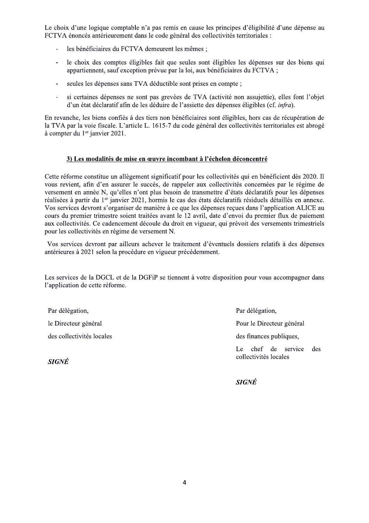Le choix d'une logique comptable n'a pas remis en cause les principes d'éligibilité d'une dépense au FCTVA énoncés antérieurement dans le code général des collectivités territoriales :

- les bénéficiaires du FCTVA demeurent les mêmes ;
- le choix des comptes éligibles fait que seules sont éligibles les dépenses sur des biens qui  $\mathbb{Z}$ appartiennent, sauf exception prévue par la loi, aux bénéficiaires du FCTVA;
- seules les dépenses sans TVA déductible sont prises en compte ;
- si certaines dépenses ne sont pas grevées de TVA (activité non assujettie), elles font l'objet d'un état déclaratif afin de les déduire de l'assiette des dépenses éligibles (cf. *infra*).

En revanche, les biens confiés à des tiers non bénéficiaires sont éligibles, hors cas de récupération de la TVA par la voie fiscale. L'article L. 1615-7 du code général des collectivités territoriales est abrogé à compter du 1<sup>er</sup> janvier 2021.

### 3) Les modalités de mise en œuvre incombant à l'échelon déconcentré

Cette réforme constitue un allègement significatif pour les collectivités qui en bénéficient dès 2020. Il vous revient, afin d'en assurer le succès, de rappeler aux collectivités concernées par le régime de versement en année N, qu'elles n'ont plus besoin de transmettre d'états déclaratifs pour les dépenses réalisées à partir du 1<sup>er</sup> janvier 2021, hormis le cas des états déclaratifs résiduels détaillés en annexe. Vos services devront s'organiser de manière à ce que les dépenses recues dans l'application ALICE au cours du premier trimestre soient traitées avant le 12 avril, date d'envoi du premier flux de paiement aux collectivités. Ce cadencement découle du droit en vigueur, qui prévoit des versements trimestriels pour les collectivités en régime de versement N.

Vos services devront par ailleurs achever le traitement d'éventuels dossiers relatifs à des dépenses antérieures à 2021 selon la procédure en vigueur précédemment.

Les services de la DGCL et de la DGFiP se tiennent à votre disposition pour vous accompagner dans l'application de cette réforme.

Par délégation, le Directeur général des collectivités locales

**SIGNÉ** 

Par délégation, Pour le Directeur général des finances publiques, Le chef de service des collectivités locales

**SIGNÉ**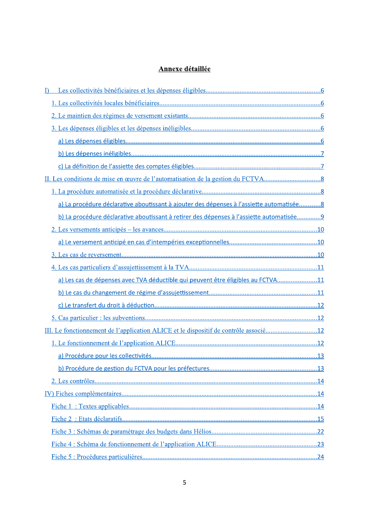# Annexe détaillée

| I)                                                                                       |  |
|------------------------------------------------------------------------------------------|--|
|                                                                                          |  |
|                                                                                          |  |
|                                                                                          |  |
|                                                                                          |  |
|                                                                                          |  |
|                                                                                          |  |
|                                                                                          |  |
|                                                                                          |  |
| a) La procédure déclarative aboutissant à ajouter des dépenses à l'assiette automatisée8 |  |
| b) La procédure déclarative aboutissant à retirer des dépenses à l'assiette automatisée9 |  |
|                                                                                          |  |
|                                                                                          |  |
|                                                                                          |  |
|                                                                                          |  |
| a) Les cas de dépenses avec TVA déductible qui peuvent être éligibles au FCTVA11         |  |
|                                                                                          |  |
|                                                                                          |  |
|                                                                                          |  |
| III. Le fonctionnement de l'application ALICE et le dispositif de contrôle associé12     |  |
|                                                                                          |  |
|                                                                                          |  |
|                                                                                          |  |
|                                                                                          |  |
|                                                                                          |  |
|                                                                                          |  |
|                                                                                          |  |
|                                                                                          |  |
|                                                                                          |  |
|                                                                                          |  |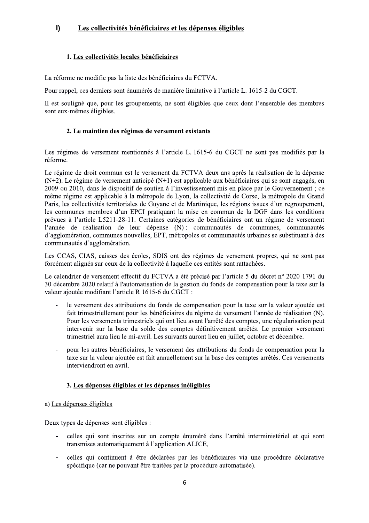#### $\mathbf{I}$ Les collectivités bénéficiaires et les dépenses éligibles

# 1. Les collectivités locales bénéficiaires

La réforme ne modifie pas la liste des bénéficiaires du FCTVA.

Pour rappel, ces derniers sont énumérés de manière limitative à l'article L. 1615-2 du CGCT.

Il est souligné que, pour les groupements, ne sont éligibles que ceux dont l'ensemble des membres sont eux-mêmes éligibles.

# 2. Le maintien des régimes de versement existants

Les régimes de versement mentionnés à l'article L. 1615-6 du CGCT ne sont pas modifiés par la réforme.

Le régime de droit commun est le versement du FCTVA deux ans après la réalisation de la dépense  $(N+2)$ . Le régime de versement anticipé  $(N+1)$  est applicable aux bénéficiaires qui se sont engagés, en 2009 ou 2010, dans le dispositif de soutien à l'investissement mis en place par le Gouvernement ; ce même régime est applicable à la métropole de Lyon, la collectivité de Corse, la métropole du Grand Paris, les collectivités territoriales de Guyane et de Martinique, les régions issues d'un regroupement, les communes membres d'un EPCI pratiquant la mise en commun de la DGF dans les conditions prévues à l'article L5211-28-11. Certaines catégories de bénéficiaires ont un régime de versement l'année de réalisation de leur dépense (N) : communautés de communes, communautés d'agglomération, communes nouvelles. EPT, métropoles et communautés urbaines se substituant à des communautés d'agglomération.

Les CCAS, CIAS, caisses des écoles, SDIS ont des régimes de versement propres, qui ne sont pas forcément alignés sur ceux de la collectivité à laquelle ces entités sont rattachées.

Le calendrier de versement effectif du FCTVA a été précisé par l'article 5 du décret n° 2020-1791 du 30 décembre 2020 relatif à l'automatisation de la gestion du fonds de compensation pour la taxe sur la valeur ajoutée modifiant l'article R 1615-6 du CGCT :

- le versement des attributions du fonds de compensation pour la taxe sur la valeur ajoutée est fait trimestriellement pour les bénéficiaires du régime de versement l'année de réalisation (N). Pour les versements trimestriels qui ont lieu avant l'arrêté des comptes, une régularisation peut intervenir sur la base du solde des comptes définitivement arrêtés. Le premier versement trimestriel aura lieu le mi-avril. Les suivants auront lieu en juillet, octobre et décembre.
- pour les autres bénéficiaires, le versement des attributions du fonds de compensation pour la taxe sur la valeur ajoutée est fait annuellement sur la base des comptes arrêtés. Ces versements interviendront en avril.

# 3. Les dépenses éligibles et les dépenses inéligibles

a) Les dépenses éligibles

Deux types de dépenses sont éligibles :

- celles qui sont inscrites sur un compte énuméré dans l'arrêté interministériel et qui sont transmises automatiquement à l'application ALICE,
- celles qui continuent à être déclarées par les bénéficiaires via une procédure déclarative spécifique (car ne pouvant être traitées par la procédure automatisée).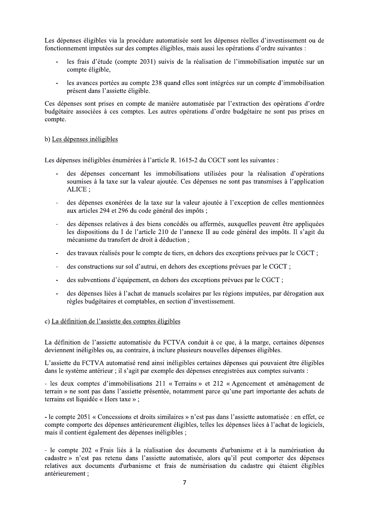Les dépenses éligibles via la procédure automatisée sont les dépenses réelles d'investissement ou de fonctionnement imputées sur des comptes éligibles, mais aussi les opérations d'ordre suivantes :

- les frais d'étude (compte 2031) suivis de la réalisation de l'immobilisation imputée sur un compte éligible,
- les avances portées au compte 238 quand elles sont intégrées sur un compte d'immobilisation présent dans l'assiette éligible.

Ces dépenses sont prises en compte de manière automatisée par l'extraction des opérations d'ordre budgétaire associées à ces comptes. Les autres opérations d'ordre budgétaire ne sont pas prises en compte.

#### b) Les dépenses inéligibles

Les dépenses inéligibles énumérées à l'article R. 1615-2 du CGCT sont les suivantes :

- des dépenses concernant les immobilisations utilisées pour la réalisation d'opérations soumises à la taxe sur la valeur ajoutée. Ces dépenses ne sont pas transmises à l'application ALICE:
- des dépenses exonérées de la taxe sur la valeur ajoutée à l'exception de celles mentionnées aux articles 294 et 296 du code général des impôts ;
- des dépenses relatives à des biens concédés ou affermés, auxquelles peuvent être appliquées les dispositions du I de l'article 210 de l'annexe II au code général des impôts. Il s'agit du mécanisme du transfert de droit à déduction;
- des travaux réalisés pour le compte de tiers, en dehors des exceptions prévues par le CGCT ;  $\overline{a}$
- des constructions sur sol d'autrui, en dehors des exceptions prévues par le CGCT ;  $\overline{a}$
- des subventions d'équipement, en dehors des exceptions prévues par le CGCT ;  $\sim$
- des dépenses liées à l'achat de manuels scolaires par les régions imputées, par dérogation aux règles budgétaires et comptables, en section d'investissement.

#### c) La définition de l'assiette des comptes éligibles

La définition de l'assiette automatisée du FCTVA conduit à ce que, à la marge, certaines dépenses deviennent inéligibles ou, au contraire, à inclure plusieurs nouvelles dépenses éligibles.

L'assiette du FCTVA automatisé rend ainsi inéligibles certaines dépenses qui pouvaient être éligibles dans le système antérieur ; il s'agit par exemple des dépenses enregistrées aux comptes suivants :

- les deux comptes d'immobilisations 211 « Terrains » et 212 « Agencement et aménagement de terrain » ne sont pas dans l'assiette présentée, notamment parce qu'une part importante des achats de terrains est liquidée « Hors taxe »;

- le compte 2051 « Concessions et droits similaires » n'est pas dans l'assiette automatisée : en effet, ce compte comporte des dépenses antérieurement éligibles, telles les dépenses liées à l'achat de logiciels, mais il contient également des dépenses inéligibles ;

- le compte 202 « Frais liés à la réalisation des documents d'urbanisme et à la numérisation du cadastre » n'est pas retenu dans l'assiette automatisée, alors qu'il peut comporter des dépenses relatives aux documents d'urbanisme et frais de numérisation du cadastre qui étaient éligibles antérieurement;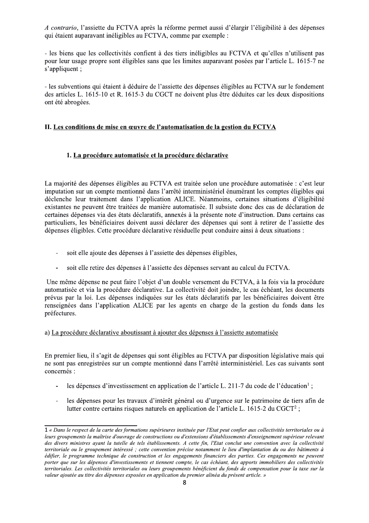A contrario, l'assiette du FCTVA après la réforme permet aussi d'élargir l'éligibilité à des dépenses qui étaient auparavant inéligibles au FCTVA, comme par exemple :

- les biens que les collectivités confient à des tiers inéligibles au FCTVA et qu'elles n'utilisent pas pour leur usage propre sont éligibles sans que les limites auparavant posées par l'article L. 1615-7 ne s'appliquent;

- les subventions qui étaient à déduire de l'assiette des dépenses éligibles au FCTVA sur le fondement des articles L. 1615-10 et R. 1615-3 du CGCT ne doivent plus être déduites car les deux dispositions ont été abrogées.

### II. Les conditions de mise en œuvre de l'automatisation de la gestion du FCTVA

### 1. La procédure automatisée et la procédure déclarative

La majorité des dépenses éligibles au FCTVA est traitée selon une procédure automatisée : c'est leur imputation sur un compte mentionné dans l'arrêté interministériel énumérant les comptes éligibles qui déclenche leur traitement dans l'application ALICE. Néanmoins, certaines situations d'éligibilité existantes ne peuvent être traitées de manière automatisée. Il subsiste donc des cas de déclaration de certaines dépenses via des états déclaratifs, annexés à la présente note d'instruction. Dans certains cas particuliers, les bénéficiaires doivent aussi déclarer des dépenses qui sont à retirer de l'assiette des dépenses éligibles. Cette procédure déclarative résiduelle peut conduire ainsi à deux situations :

- soit elle ajoute des dépenses à l'assiette des dépenses éligibles,  $\bar{\phantom{a}}$
- $\overline{\phantom{a}}$ soit elle retire des dépenses à l'assiette des dépenses servant au calcul du FCTVA.

Une même dépense ne peut faire l'objet d'un double versement du FCTVA, à la fois via la procédure automatisée et via la procédure déclarative. La collectivité doit joindre, le cas échéant, les documents prévus par la loi. Les dépenses indiquées sur les états déclaratifs par les bénéficiaires doivent être renseignées dans l'application ALICE par les agents en charge de la gestion du fonds dans les préfectures.

### a) La procédure déclarative aboutissant à ajouter des dépenses à l'assiette automatisée

En premier lieu, il s'agit de dépenses qui sont éligibles au FCTVA par disposition législative mais qui ne sont pas enregistrées sur un compte mentionné dans l'arrêté interministériel. Les cas suivants sont concernés :

- les dépenses d'investissement en application de l'article L. 211-7 du code de l'éducation<sup>1</sup>;  $\overline{a}$
- les dépenses pour les travaux d'intérêt général ou d'urgence sur le patrimoine de tiers afin de  $\Box$ lutter contre certains risques naturels en application de l'article L. 1615-2 du CGCT<sup>2</sup>;

<sup>1 «</sup> Dans le respect de la carte des formations supérieures instituée par l'Etat peut confier aux collectivités territoriales ou à leurs groupements la maîtrise d'ouvrage de constructions ou d'extensions d'établissements d'enseignement supérieur relevant des divers ministres avant la tutelle de tels établissements. A cette fin, l'Etat conclut une convention avec la collectivité territoriale ou le groupement intéressé ; cette convention précise notamment le lieu d'implantation du ou des bâtiments à édifier, le programme technique de construction et les engagements financiers des parties. Ces engagements ne peuvent porter que sur les dépenses d'investissements et tiennent compte, le cas échéant, des apports immobiliers des collectivités territoriales. Les collectivités territoriales ou leurs groupements bénéficient du fonds de compensation pour la taxe sur la valeur ajoutée au titre des dépenses exposées en application du premier alinéa du présent article. »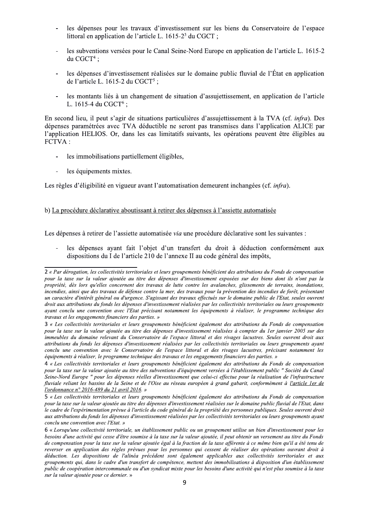- les dépenses pour les travaux d'investissement sur les biens du Conservatoire de l'espace littoral en application de l'article L. 1615-2<sup>3</sup> du CGCT ;
- les subventions versées pour le Canal Seine-Nord Europe en application de l'article L. 1615-2 du CGCT $4$ ;
- les dépenses d'investissement réalisées sur le domaine public fluvial de l'État en application de l'article L. 1615-2 du CGCT<sup>5</sup>;
- les montants liés à un changement de situation d'assujettissement, en application de l'article L. 1615-4 du CGCT<sup>6</sup>:

En second lieu, il peut s'agir de situations particulières d'assujettissement à la TVA (cf. infra). Des dépenses paramétrées avec TVA déductible ne seront pas transmises dans l'application ALICE par l'application HELIOS. Or, dans les cas limitatifs suivants, les opérations peuvent être éligibles au FCTVA:

- les immobilisations partiellement éligibles,  $\Box$
- les équipements mixtes.  $\Box$

Les règles d'éligibilité en vigueur avant l'automatisation demeurent inchangées (cf. infra).

### b) La procédure déclarative aboutissant à retirer des dépenses à l'assiette automatisée

Les dépenses à retirer de l'assiette automatisée via une procédure déclarative sont les suivantes :

les dépenses ayant fait l'objet d'un transfert du droit à déduction conformément aux dispositions du I de l'article 210 de l'annexe II au code général des impôts,

<sup>2 «</sup> Par dérogation, les collectivités territoriales et leurs groupements bénéficient des attributions du Fonds de compensation pour la taxe sur la valeur ajoutée au titre des dépenses d'investissement exposées sur des biens dont ils n'ont pas la propriété, dès lors qu'elles concernent des travaux de lutte contre les avalanches, glissements de terrains, inondations, incendies, ainsi que des travaux de défense contre la mer, des travaux pour la prévention des incendies de forêt, présentant un caractère d'intérêt général ou d'urgence. S'agissant des travaux effectués sur le domaine public de l'Etat, seules ouvrent droit aux attributions du fonds les dépenses d'investissement réalisées par les collectivités territoriales ou leurs groupements ayant conclu une convention avec l'Etat précisant notamment les équipements à réaliser, le programme technique des travaux et les engagements financiers des parties. »

<sup>3 «</sup> Les collectivités territoriales et leurs groupements bénéficient également des attributions du Fonds de compensation pour la taxe sur la valeur ajoutée au titre des dépenses d'investissement réalisées à compter du 1er janvier 2005 sur des immeubles du domaine relevant du Conservatoire de l'espace littoral et des rivages lacustres. Seules ouvrent droit aux attributions du fonds les dépenses d'investissement réalisées par les collectivités territoriales ou leurs groupements avant conclu une convention avec le Conservatoire de l'espace littoral et des rivages lacustres, précisant notamment les équipements à réaliser, le programme technique des travaux et les engagements financiers des parties. »

<sup>4 «</sup> Les collectivités territoriales et leurs groupements bénéficient également des attributions du Fonds de compensation pour la taxe sur la valeur ajoutée au titre des subventions d'équipement versées à l'établissement public " Société du Canal Seine-Nord Europe " pour les dépenses réelles d'investissement que celui-ci effectue pour la réalisation de l'infrastructure fluviale reliant les bassins de la Seine et de l'Oise au réseau européen à grand gabarit, conformément à l'article ler de l'ordonnance n° 2016-489 du 21 avril 2016. »

<sup>5 «</sup> Les collectivités territoriales et leurs groupements bénéficient également des attributions du Fonds de compensation pour la taxe sur la valeur ajoutée au titre des dépenses d'investissement réalisées sur le domaine public fluvial de l'Etat, dans le cadre de l'expérimentation prévue à l'article du code général de la propriété des personnes publiques. Seules ouvrent droit aux attributions du fonds les dépenses d'investissement réalisées par les collectivités territoriales ou leurs groupements ayant conclu une convention avec l'Etat. »

<sup>6 «</sup> Lorsqu'une collectivité territoriale, un établissement public ou un groupement utilise un bien d'investissement pour les besoins d'une activité qui cesse d'être soumise à la taxe sur la valeur ajoutée, il peut obtenir un versement au titre du Fonds de compensation pour la taxe sur la valeur ajoutée égal à la fraction de la taxe afférente à ce même bien qu'il a été tenu de reverser en application des règles prévues pour les personnes qui cessent de réaliser des opérations ouvrant droit à déduction. Les dispositions de l'alinéa précédent sont également applicables aux collectivités territoriales et aux groupements qui, dans le cadre d'un transfert de compétence, mettent des immobilisations à disposition d'un établissement public de coopération intercommunale ou d'un syndicat mixte pour les besoins d'une activité qui n'est plus soumise à la taxe sur la valeur ajoutée pour ce dernier. »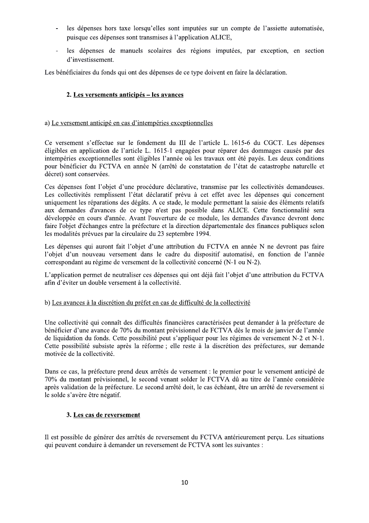- les dépenses hors taxe lorsqu'elles sont imputées sur un compte de l'assiette automatisée, puisque ces dépenses sont transmises à l'application ALICE,
- $\Box$ les dépenses de manuels scolaires des régions imputées, par exception, en section d'investissement.

Les bénéficiaires du fonds qui ont des dépenses de ce type doivent en faire la déclaration.

# 2. Les versements anticipés – les avances

### a) Le versement anticipé en cas d'intempéries exceptionnelles

Ce versement s'effectue sur le fondement du III de l'article L. 1615-6 du CGCT. Les dépenses éligibles en application de l'article L. 1615-1 engagées pour réparer des dommages causés par des intempéries exceptionnelles sont éligibles l'année où les travaux ont été payés. Les deux conditions pour bénéficier du FCTVA en année N (arrêté de constatation de l'état de catastrophe naturelle et décret) sont conservées.

Ces dépenses font l'objet d'une procédure déclarative, transmise par les collectivités demandeuses. Les collectivités remplissent l'état déclaratif prévu à cet effet avec les dépenses qui concernent uniquement les réparations des dégâts. A ce stade, le module permettant la saisie des éléments relatifs aux demandes d'avances de ce type n'est pas possible dans ALICE. Cette fonctionnalité sera développée en cours d'année. Avant l'ouverture de ce module, les demandes d'avance devront donc faire l'objet d'échanges entre la préfecture et la direction départementale des finances publiques selon les modalités prévues par la circulaire du 23 septembre 1994.

Les dépenses qui auront fait l'objet d'une attribution du FCTVA en année N ne devront pas faire l'objet d'un nouveau versement dans le cadre du dispositif automatisé, en fonction de l'année correspondant au régime de versement de la collectivité concerné (N-1 ou N-2).

L'application permet de neutraliser ces dépenses qui ont déjà fait l'objet d'une attribution du FCTVA afin d'éviter un double versement à la collectivité.

### b) Les avances à la discrétion du préfet en cas de difficulté de la collectivité

Une collectivité qui connaît des difficultés financières caractérisées peut demander à la préfecture de bénéficier d'une avance de 70% du montant prévisionnel de FCTVA dès le mois de janvier de l'année de liquidation du fonds. Cette possibilité peut s'appliquer pour les régimes de versement N-2 et N-1. Cette possibilité subsiste après la réforme ; elle reste à la discrétion des préfectures, sur demande motivée de la collectivité.

Dans ce cas, la préfecture prend deux arrêtés de versement : le premier pour le versement anticipé de 70% du montant prévisionnel, le second venant solder le FCTVA dû au titre de l'année considérée après validation de la préfecture. Le second arrêté doit, le cas échéant, être un arrêté de reversement si le solde s'avère être négatif.

### 3. Les cas de reversement

Il est possible de générer des arrêtés de reversement du FCTVA antérieurement perçu. Les situations qui peuvent conduire à demander un reversement de FCTVA sont les suivantes :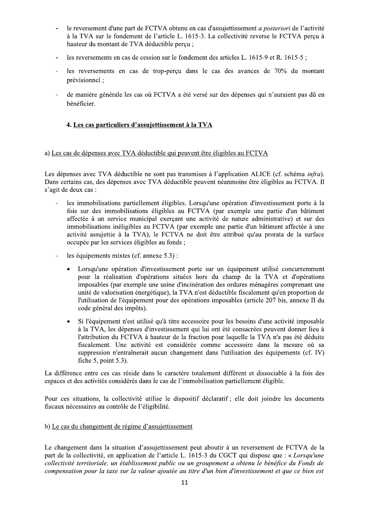- le reversement d'une part de FCTVA obtenu en cas d'assujettissement *a posteriori* de l'activité à la TVA sur le fondement de l'article L. 1615-3. La collectivité reverse le FCTVA perçu à hauteur du montant de TVA déductible perçu ;
- les reversements en cas de cession sur le fondement des articles L. 1615-9 et R. 1615-5;
- les reversements en cas de trop-perçu dans le cas des avances de 70% du montant  $\overline{\phantom{a}}$ prévisionnel :
- de manière générale les cas où FCTVA a été versé sur des dépenses qui n'auraient pas dû en bénéficier.

# 4. Les cas particuliers d'assujettissement à la TVA

#### a) Les cas de dépenses avec TVA déductible qui peuvent être éligibles au FCTVA

Les dépenses avec TVA déductible ne sont pas transmises à l'application ALICE (cf. schéma *infra*). Dans certains cas, des dépenses avec TVA déductible peuvent néanmoins être éligibles au FCTVA. Il s'agit de deux cas :

- les immobilisations partiellement éligibles. Lorsqu'une opération d'investissement porte à la fois sur des immobilisations éligibles au FCTVA (par exemple une partie d'un bâtiment affectée à un service municipal exerçant une activité de nature administrative) et sur des immobilisations inéligibles au FCTVA (par exemple une partie d'un bâtiment affectée à une activité assujettie à la TVA), le FCTVA ne doit être attribué qu'au prorata de la surface occupée par les services éligibles au fonds;
- les équipements mixtes (cf. annexe 5.3) :  $\overline{a}$ 
	- Lorsqu'une opération d'investissement porte sur un équipement utilisé concurremment  $\bullet$ pour la réalisation d'opérations situées hors du champ de la TVA et d'opérations imposables (par exemple une usine d'incinération des ordures ménagères comprenant une unité de valorisation énergétique), la TVA n'est déductible fiscalement qu'en proportion de l'utilisation de l'équipement pour des opérations imposables (article 207 bis, annexe II du code général des impôts).
	- Si l'équipement n'est utilisé qu'à titre accessoire pour les besoins d'une activité imposable à la TVA, les dépenses d'investissement qui lui ont été consacrées peuvent donner lieu à l'attribution du FCTVA à hauteur de la fraction pour laquelle la TVA n'a pas été déduite fiscalement. Une activité est considérée comme accessoire dans la mesure où sa suppression n'entraînerait aucun changement dans l'utilisation des équipements (cf. IV) fiche 5, point  $5.3$ ).

La différence entre ces cas réside dans le caractère totalement différent et dissociable à la fois des espaces et des activités considérés dans le cas de l'immobilisation partiellement éligible.

Pour ces situations, la collectivité utilise le dispositif déclaratif ; elle doit joindre les documents fiscaux nécessaires au contrôle de l'éligibilité.

### b) Le cas du changement de régime d'assujettissement

Le changement dans la situation d'assujettissement peut aboutir à un reversement de FCTVA de la part de la collectivité, en application de l'article L. 1615-3 du CGCT qui dispose que : « Lorsqu'une collectivité territoriale, un établissement public ou un groupement a obtenu le bénéfice du Fonds de compensation pour la taxe sur la valeur ajoutée au titre d'un bien d'investissement et que ce bien est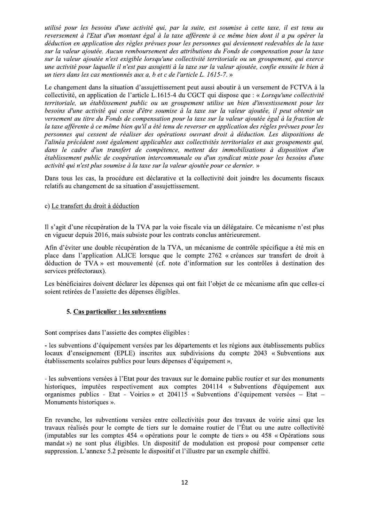utilisé pour les besoins d'une activité qui, par la suite, est soumise à cette taxe, il est tenu au reversement à l'Etat d'un montant égal à la taxe afférente à ce même bien dont il a pu opérer la déduction en application des règles prévues pour les personnes qui deviennent redevables de la taxe sur la valeur ajoutée. Aucun remboursement des attributions du Fonds de compensation pour la taxe sur la valeur ajoutée n'est exigible lorsqu'une collectivité territoriale ou un groupement, qui exerce une activité pour laquelle il n'est pas assujetti à la taxe sur la valeur ajoutée, confie ensuite le bien à un tiers dans les cas mentionnés aux a, b et c de l'article L. 1615-7. »

Le changement dans la situation d'assujettissement peut aussi aboutir à un versement de FCTVA à la collectivité, en application de l'article L.1615-4 du CGCT qui dispose que : « Lorsqu'une collectivité territoriale, un établissement public ou un groupement utilise un bien d'investissement pour les besoins d'une activité qui cesse d'être soumise à la taxe sur la valeur ajoutée, il peut obtenir un versement au titre du Fonds de compensation pour la taxe sur la valeur ajoutée égal à la fraction de la taxe afférente à ce même bien qu'il a été tenu de reverser en application des règles prévues pour les personnes qui cessent de réaliser des opérations ouvrant droit à déduction. Les dispositions de l'alinéa précédent sont également applicables aux collectivités territoriales et aux groupements qui, dans le cadre d'un transfert de compétence, mettent des immobilisations à disposition d'un établissement public de coopération intercommunale ou d'un syndicat mixte pour les besoins d'une activité qui n'est plus soumise à la taxe sur la valeur ajoutée pour ce dernier. »

Dans tous les cas, la procédure est déclarative et la collectivité doit joindre les documents fiscaux relatifs au changement de sa situation d'assujettissement.

#### c) Le transfert du droit à déduction

Il s'agit d'une récupération de la TVA par la voie fiscale via un délégataire. Ce mécanisme n'est plus en vigueur depuis 2016, mais subsiste pour les contrats conclus antérieurement.

Afin d'éviter une double récupération de la TVA, un mécanisme de contrôle spécifique a été mis en place dans l'application ALICE lorsque que le compte 2762 « créances sur transfert de droit à déduction de TVA » est mouvementé (cf. note d'information sur les contrôles à destination des services préfectoraux).

Les bénéficiaires doivent déclarer les dépenses qui ont fait l'objet de ce mécanisme afin que celles-ci soient retirées de l'assiette des dépenses éligibles.

#### 5. Cas particulier : les subventions

Sont comprises dans l'assiette des comptes éligibles :

- les subventions d'équipement versées par les départements et les régions aux établissements publics locaux d'enseignement (EPLE) inscrites aux subdivisions du compte 2043 « Subventions aux établissements scolaires publics pour leurs dépenses d'équipement »,

- les subventions versées à l'Etat pour des travaux sur le domaine public routier et sur des monuments historiques, imputées respectivement aux comptes 204114 « Subventions d'équipement aux organismes publics - Etat - Voiries » et 204115 « Subventions d'équipement versées - Etat -Monuments historiques ».

En revanche, les subventions versées entre collectivités pour des travaux de voirie ainsi que les travaux réalisés pour le compte de tiers sur le domaine routier de l'État ou une autre collectivité (imputables sur les comptes 454 « opérations pour le compte de tiers » ou 458 « Opérations sous mandat») ne sont plus éligibles. Un dispositif de modulation est proposé pour compenser cette suppression. L'annexe 5.2 présente le dispositif et l'illustre par un exemple chiffré.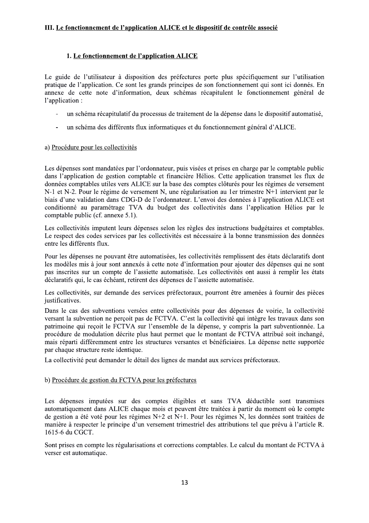# 1. Le fonctionnement de l'application ALICE

Le guide de l'utilisateur à disposition des préfectures porte plus spécifiquement sur l'utilisation pratique de l'application. Ce sont les grands principes de son fonctionnement qui sont ici donnés. En annexe de cette note d'information, deux schémas récapitulent le fonctionnement général de l'application :

- un schéma récapitulatif du processus de traitement de la dépense dans le dispositif automatisé,
- un schéma des différents flux informatiques et du fonctionnement général d'ALICE.  $\overline{\phantom{a}}$

### a) Procédure pour les collectivités

Les dépenses sont mandatées par l'ordonnateur, puis visées et prises en charge par le comptable public dans l'application de gestion comptable et financière Hélios. Cette application transmet les flux de données comptables utiles vers ALICE sur la base des comptes clôturés pour les régimes de versement N-1 et N-2. Pour le régime de versement N, une régularisation au 1 er trimestre N+1 intervient par le biais d'une validation dans CDG-D de l'ordonnateur. L'envoi des données à l'application ALICE est conditionné au paramétrage TVA du budget des collectivités dans l'application Hélios par le comptable public (cf. annexe 5.1).

Les collectivités imputent leurs dépenses selon les règles des instructions budgétaires et comptables. Le respect des codes services par les collectivités est nécessaire à la bonne transmission des données entre les différents flux.

Pour les dépenses ne pouvant être automatisées, les collectivités remplissent des états déclaratifs dont les modèles mis à jour sont annexés à cette note d'information pour ajouter des dépenses qui ne sont pas inscrites sur un compte de l'assiette automatisée. Les collectivités ont aussi à remplir les états déclaratifs qui, le cas échéant, retirent des dépenses de l'assiette automatisée.

Les collectivités, sur demande des services préfectoraux, pourront être amenées à fournir des pièces justificatives.

Dans le cas des subventions versées entre collectivités pour des dépenses de voirie, la collectivité versant la subvention ne perçoit pas de FCTVA. C'est la collectivité qui intègre les travaux dans son patrimoine qui reçoit le FCTVA sur l'ensemble de la dépense, y compris la part subventionnée. La procédure de modulation décrite plus haut permet que le montant de FCTVA attribué soit inchangé, mais réparti différemment entre les structures versantes et bénéficiaires. La dépense nette supportée par chaque structure reste identique.

La collectivité peut demander le détail des lignes de mandat aux services préfectoraux.

### b) Procédure de gestion du FCTVA pour les préfectures

Les dépenses imputées sur des comptes éligibles et sans TVA déductible sont transmises automatiquement dans ALICE chaque mois et peuvent être traitées à partir du moment où le compte de gestion a été voté pour les régimes N+2 et N+1. Pour les régimes N, les données sont traitées de manière à respecter le principe d'un versement trimestriel des attributions tel que prévu à l'article R. 1615-6 du CGCT.

Sont prises en compte les régularisations et corrections comptables. Le calcul du montant de FCTVA à verser est automatique.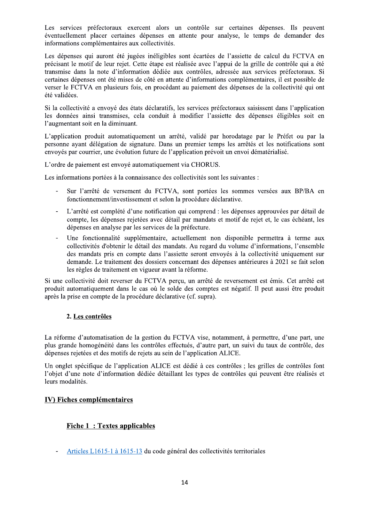Les services préfectoraux exercent alors un contrôle sur certaines dépenses. Ils peuvent éventuellement placer certaines dépenses en attente pour analyse, le temps de demander des informations complémentaires aux collectivités.

Les dépenses qui auront été jugées inéligibles sont écartées de l'assiette de calcul du FCTVA en précisant le motif de leur rejet. Cette étape est réalisée avec l'appui de la grille de contrôle qui a été transmise dans la note d'information dédiée aux contrôles, adressée aux services préfectoraux. Si certaines dépenses ont été mises de côté en attente d'informations complémentaires, il est possible de verser le FCTVA en plusieurs fois, en procédant au paiement des dépenses de la collectivité qui ont été validées.

Si la collectivité a envoyé des états déclaratifs, les services préfectoraux saisissent dans l'application les données ainsi transmises, cela conduit à modifier l'assiette des dépenses éligibles soit en l'augmentant soit en la diminuant.

L'application produit automatiquement un arrêté, validé par horodatage par le Préfet ou par la personne ayant délégation de signature. Dans un premier temps les arrêtés et les notifications sont envoyés par courrier, une évolution future de l'application prévoit un envoi dématérialisé.

L'ordre de paiement est envoyé automatiquement via CHORUS.

Les informations portées à la connaissance des collectivités sont les suivantes :

- Sur l'arrêté de versement du FCTVA, sont portées les sommes versées aux BP/BA en fonctionnement/investissement et selon la procédure déclarative.
- L'arrêté est complété d'une notification qui comprend : les dépenses approuvées par détail de compte, les dépenses rejetées avec détail par mandats et motif de rejet et, le cas échéant, les dépenses en analyse par les services de la préfecture.
- Une fonctionnalité supplémentaire, actuellement non disponible permettra à terme aux collectivités d'obtenir le détail des mandats. Au regard du volume d'informations, l'ensemble des mandats pris en compte dans l'assiette seront envoyés à la collectivité uniquement sur demande. Le traitement des dossiers concernant des dépenses antérieures à 2021 se fait selon les règles de traitement en vigueur avant la réforme.

Si une collectivité doit reverser du FCTVA perçu, un arrêté de reversement est émis. Cet arrêté est produit automatiquement dans le cas où le solde des comptes est négatif. Il peut aussi être produit après la prise en compte de la procédure déclarative (cf. supra).

# 2. Les contrôles

La réforme d'automatisation de la gestion du FCTVA vise, notamment, à permettre, d'une part, une plus grande homogénéité dans les contrôles effectués, d'autre part, un suivi du taux de contrôle, des dépenses rejetées et des motifs de rejets au sein de l'application ALICE.

Un onglet spécifique de l'application ALICE est dédié à ces contrôles ; les grilles de contrôles font l'objet d'une note d'information dédiée détaillant les types de contrôles qui peuvent être réalisés et leurs modalités.

# IV) Fiches complémentaires

# **Fiche 1: Textes applicables**

Articles L1615-1 à 1615-13 du code général des collectivités territoriales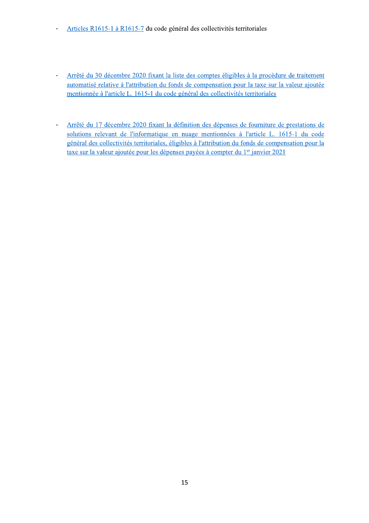- Articles R1615-1 à R1615-7 du code général des collectivités territoriales  $\blacksquare$
- Arrêté du 30 décembre 2020 fixant la liste des comptes éligibles à la procédure de traitement  $\Box$ automatisé relative à l'attribution du fonds de compensation pour la taxe sur la valeur ajoutée mentionnée à l'article L. 1615-1 du code général des collectivités territoriales
- Arrêté du 17 décembre 2020 fixant la définition des dépenses de fourniture de prestations de  $\frac{1}{\sqrt{2}}$ solutions relevant de l'informatique en nuage mentionnées à l'article L. 1615-1 du code général des collectivités territoriales, éligibles à l'attribution du fonds de compensation pour la taxe sur la valeur ajoutée pour les dépenses payées à compter du 1<sup>er</sup> janvier 2021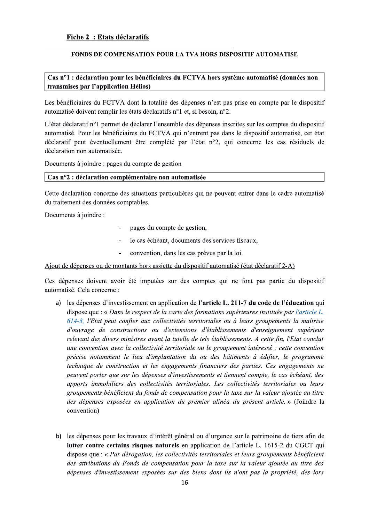#### <u>FONDS DE COMPENSATION POUR LA TVA HORS DISPOSITIF AUTOMATISE</u>

# $\bf { Cas ~n^o1:}$  declaration pour les beneficiaires du FCTVA hors systeme automatise (donnees non  $\mid$ transmises par l'application Helios)

Les bénéficiaires du FCTVA dont la totalité des dépenses n'est pas prise en compte par le dispositif automatisé doivent remplir les états déclaratifs n°1 et, si besoin, n°2.

**POUR LA TVA HORS DISPOSITIF AUTOMATIS**<br> **iaires du FCTVA hors système automatisé (don**<br>
alité des dépenses n'est pas prise en compte par l<br>
ratifs n°1 et, si besoin, n°2.<br>
'ensemble des dépenses inscrites sur les comptes L'état déclaratif n<sup>o</sup>l permet de déclarer l'ensemble des dépenses inscrites sur les comptes du dispositif automatisé. Pour les bénéficiaires du FCTVA qui n'entrent pas dans le dispositif automatisé, cet état déclaratif peut éventuellement être complété par l'état n°2, qui concerne les cas résiduels de déclaration non automatisée.

Documents à joindre : pages du compte de gestion

# <u>Cas n°2 : declaration complementaire non automatisee</u>

Cette déclaration concerne des situations particulières qui ne peuvent entrer dans le cadre automatisé du traitement des données comptables.

Documents à joindre :

- pages du compte de gestion,
- le cas échéant, documents des services fiscaux,
- convention, dans les cas prévus par la loi.

Ajout de dépenses ou de montants hors assiette du dispositif automatisé (état déclaratif 2-A)

Ces dépenses doivent avoir été imputées sur des comptes qui ne font pas partie du dispositif automatisé. Cela concerne :

- a) les dépenses d'investissement en application de l'**article L. 211-7 du code de l'éducation** qui dispose que : « Dans le respect de la carte des formations supérieures instituée par l'article L.  $\underline{614-3}$ , l'Etat peut confier aux collectivités territoriales ou à leurs groupements la maîtrise d'ouvrage de constructions ou d'extensions d'établissements d'enseignement supérieur relevant des divers ministres ayant la tutelle de tels établissements. A cette fin, l'Etat conclut une convention avec la collectivité territoriale ou le groupement intéressé; cette convention précise notamment le lieu d'implantation du ou des bâtiments à édifier, le programme technique de construction et les engagements financiers des parties. Ces engagements ne peuvent porter que sur les dépenses d'investissements et tiennent compte, le cas échéant, des apports immobiliers des collectivités territoriales. Les collectivités territoriales ou leurs groupements bénéficient du fonds de compensation pour la taxe sur la valeur ajoutée au titre des dépenses exposées en application du premier alinéa du présent article. » (Joindre la convention)
- b) les dépenses pour les travaux d'intérêt général ou d'urgence sur le patrimoine de tiers afin de **lutter contre certains risques naturels** en application de l'article L. 1615-2 du CGCT qui dispose que : « Par dérogation, les collectivités territoriales et leurs groupements bénéficient des attributions du Fonds de compensation pour la taxe sur la valeur ajoutée au titre des dépenses d'investissement exposées sur des biens dont ils n'ont pas la propriété, dès lors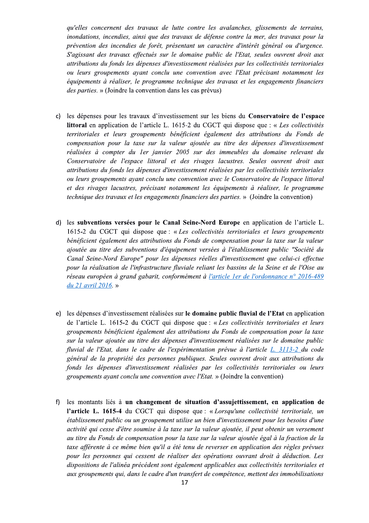qu'elles concernent des travaux de lutte contre les avalanches, glissements de terrains, inondations, incendies, ainsi que des travaux de défense contre la mer, des travaux pour la prévention des incendies de forêt, présentant un caractère d'intérêt général ou d'urgence. S'agissant des travaux effectués sur le domaine public de l'Etat, seules ouvrent droit aux attributions du fonds les dépenses d'investissement réalisées par les collectivités territoriales ou leurs groupements avant conclu une convention avec l'Etat précisant notamment les équipements à réaliser, le programme technique des travaux et les engagements financiers des parties. » (Joindre la convention dans les cas prévus)

- c) les dépenses pour les travaux d'investissement sur les biens du Conservatoire de l'espace littoral en application de l'article L. 1615-2 du CGCT qui dispose que : « Les collectivités territoriales et leurs groupements bénéficient également des attributions du Fonds de compensation pour la taxe sur la valeur ajoutée au titre des dépenses d'investissement réalisées à compter du 1er janvier 2005 sur des immeubles du domaine relevant du Conservatoire de l'espace littoral et des rivages lacustres. Seules ouvrent droit aux attributions du fonds les dépenses d'investissement réalisées par les collectivités territoriales ou leurs groupements ayant conclu une convention avec le Conservatoire de l'espace littoral et des rivages lacustres, précisant notamment les équipements à réaliser, le programme *technique des travaux et les engagements financiers des parties.* » (Joindre la convention)
- d) les subventions versées pour le Canal Seine-Nord Europe en application de l'article L. 1615-2 du CGCT qui dispose que : « Les collectivités territoriales et leurs groupements bénéficient également des attributions du Fonds de compensation pour la taxe sur la valeur ajoutée au titre des subventions d'équipement versées à l'établissement public "Société du Canal Seine-Nord Europe" pour les dépenses réelles d'investissement que celui-ci effectue pour la réalisation de l'infrastructure fluviale reliant les bassins de la Seine et de l'Oise au réseau européen à grand gabarit, conformément à l'article 1er de l'ordonnance n° 2016-489 du 21 avril 2016. »
- e) les dépenses d'investissement réalisées sur le domaine public fluvial de l'Etat en application de l'article L. 1615-2 du CGCT qui dispose que : « Les collectivités territoriales et leurs groupements bénéficient également des attributions du Fonds de compensation pour la taxe sur la valeur ajoutée au titre des dépenses d'investissement réalisées sur le domaine public fluvial de l'Etat, dans le cadre de l'expérimentation prévue à l'article L. 3113-2 du code général de la propriété des personnes publiques. Seules ouvrent droit aux attributions du fonds les dépenses d'investissement réalisées par les collectivités territoriales ou leurs groupements ayant conclu une convention avec l'Etat. » (Joindre la convention)
- f) les montants liés à un changement de situation d'assujettissement, en application de l'article L. 1615-4 du CGCT qui dispose que : « Lorsqu'une collectivité territoriale, un établissement public ou un groupement utilise un bien d'investissement pour les besoins d'une activité qui cesse d'être soumise à la taxe sur la valeur ajoutée, il peut obtenir un versement au titre du Fonds de compensation pour la taxe sur la valeur ajoutée égal à la fraction de la taxe afférente à ce même bien qu'il a été tenu de reverser en application des règles prévues pour les personnes qui cessent de réaliser des opérations ouvrant droit à déduction. Les dispositions de l'alinéa précédent sont également applicables aux collectivités territoriales et aux groupements qui, dans le cadre d'un transfert de compétence, mettent des immobilisations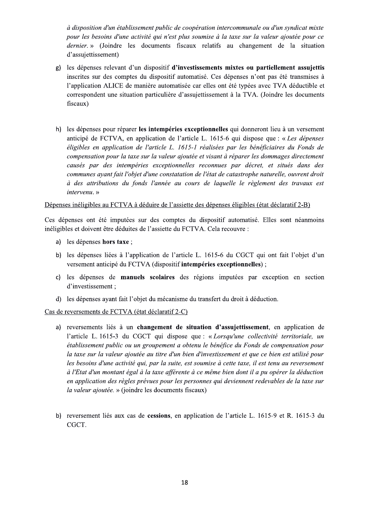à disposition d'un établissement public de coopération intercommunale ou d'un syndicat mixte pour les besoins d'une activité qui n'est plus soumise à la taxe sur la valeur ajoutée pour ce dernier. » (Joindre les documents fiscaux relatifs au changement de la situation d'assujettissement)

- g) les dépenses relevant d'un dispositif d'investissements mixtes ou partiellement assujettis inscrites sur des comptes du dispositif automatisé. Ces dépenses n'ont pas été transmises à l'application ALICE de manière automatisée car elles ont été typées avec TVA déductible et correspondent une situation particulière d'assujettissement à la TVA. (Joindre les documents fiscaux)
- h) les dépenses pour réparer les intempéries exceptionnelles qui donneront lieu à un versement anticipé de FCTVA, en application de l'article L. 1615-6 qui dispose que : « Les dépenses éligibles en application de l'article L. 1615-1 réalisées par les bénéficiaires du Fonds de compensation pour la taxe sur la valeur ajoutée et visant à réparer les dommages directement causés par des intempéries exceptionnelles reconnues par décret, et situés dans des communes avant fait l'objet d'une constatation de l'état de catastrophe naturelle, ouvrent droit à des attributions du fonds l'année au cours de laquelle le règlement des travaux est intervenu.»

#### Dépenses inéligibles au FCTVA à déduire de l'assiette des dépenses éligibles (état déclaratif 2-B)

Ces dépenses ont été imputées sur des comptes du dispositif automatisé. Elles sont néanmoins inéligibles et doivent être déduites de l'assiette du FCTVA. Cela recouvre :

- a) les dépenses hors taxe ;
- b) les dépenses liées à l'application de l'article L. 1615-6 du CGCT qui ont fait l'objet d'un versement anticipé du FCTVA (dispositif intempéries exceptionnelles);
- c) les dépenses de manuels scolaires des régions imputées par exception en section d'investissement;
- d) les dépenses ayant fait l'objet du mécanisme du transfert du droit à déduction.

### Cas de reversements de FCTVA (état déclaratif 2-C)

- a) reversements liés à un changement de situation d'assujettissement, en application de l'article L. 1615-3 du CGCT qui dispose que : « Lorsqu'une collectivité territoriale, un établissement public ou un groupement a obtenu le bénéfice du Fonds de compensation pour la taxe sur la valeur ajoutée au titre d'un bien d'investissement et que ce bien est utilisé pour les besoins d'une activité qui, par la suite, est soumise à cette taxe, il est tenu au reversement à l'Etat d'un montant égal à la taxe afférente à ce même bien dont il a pu opérer la déduction en application des règles prévues pour les personnes qui deviennent redevables de la taxe sur la valeur ajoutée. » (joindre les documents fiscaux)
- b) reversement liés aux cas de cessions, en application de l'article L. 1615-9 et R. 1615-3 du CGCT.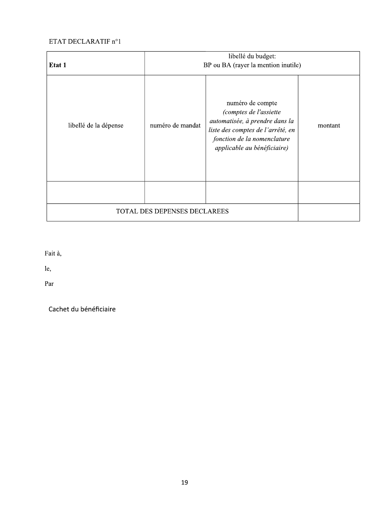# ETAT DECLARATIF n°1

| Etat 1                              | libellé du budget:<br>BP ou BA (rayer la mention inutile) |                                                                                                                                                                                 |         |  |
|-------------------------------------|-----------------------------------------------------------|---------------------------------------------------------------------------------------------------------------------------------------------------------------------------------|---------|--|
| libellé de la dépense               | numéro de mandat                                          | numéro de compte<br>(comptes de l'assiette<br>automatisée, à prendre dans la<br>liste des comptes de l'arrêté, en<br>fonction de la nomenclature<br>applicable au bénéficiaire) | montant |  |
|                                     |                                                           |                                                                                                                                                                                 |         |  |
| <b>TOTAL DES DEPENSES DECLAREES</b> |                                                           |                                                                                                                                                                                 |         |  |

Fait à,

le,

Par

Cachet du bénéficiaire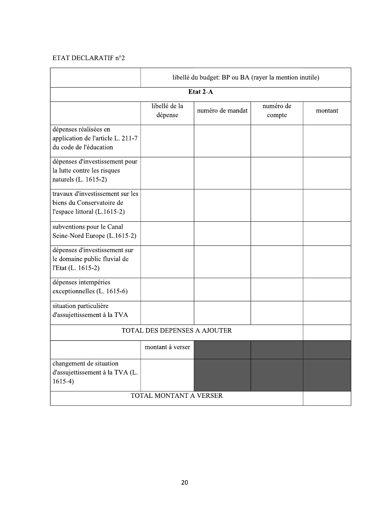# ETAT DECLARATIF n°2

|                                                                                               | libellé du budget: BP ou BA (rayer la mention inutile) |                  |                     |         |  |  |  |
|-----------------------------------------------------------------------------------------------|--------------------------------------------------------|------------------|---------------------|---------|--|--|--|
| Etat 2-A                                                                                      |                                                        |                  |                     |         |  |  |  |
|                                                                                               | libellé de la<br>dépense                               | numéro de mandat | numéro de<br>compte | montant |  |  |  |
| dépenses réalisées en<br>application de l'article L. 211-7<br>du code de l'éducation          |                                                        |                  |                     |         |  |  |  |
| dépenses d'investissement pour<br>la lutte contre les risques<br>naturels (L. 1615-2)         |                                                        |                  |                     |         |  |  |  |
| travaux d'investissement sur les<br>biens du Conservatoire de<br>l'espace littoral (L.1615-2) |                                                        |                  |                     |         |  |  |  |
| subventions pour le Canal<br>Seine-Nord Europe (L.1615-2)                                     |                                                        |                  |                     |         |  |  |  |
| dépenses d'investissement sur<br>le domaine public fluvial de<br>l'Etat (L. 1615-2)           |                                                        |                  |                     |         |  |  |  |
| dépenses intempéries<br>exceptionnelles (L. 1615-6)                                           |                                                        |                  |                     |         |  |  |  |
| situation particulière<br>d'assujettissement à la TVA                                         |                                                        |                  |                     |         |  |  |  |
| TOTAL DES DEPENSES A AJOUTER                                                                  |                                                        |                  |                     |         |  |  |  |
|                                                                                               | montant à verser                                       |                  |                     |         |  |  |  |
| changement de situation<br>d'assujettissement à la TVA (L.<br>$1615-4)$                       |                                                        |                  |                     |         |  |  |  |
| TOTAL MONTANT A VERSER                                                                        |                                                        |                  |                     |         |  |  |  |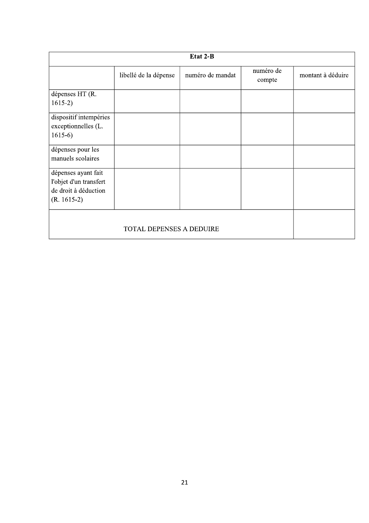| Etat 2-B                                                                               |                       |                  |                     |                   |  |  |
|----------------------------------------------------------------------------------------|-----------------------|------------------|---------------------|-------------------|--|--|
|                                                                                        | libellé de la dépense | numéro de mandat | numéro de<br>compte | montant à déduire |  |  |
| dépenses HT (R.<br>$1615-2)$                                                           |                       |                  |                     |                   |  |  |
| dispositif intempéries<br>exceptionnelles (L.<br>$1615-6$                              |                       |                  |                     |                   |  |  |
| dépenses pour les<br>manuels scolaires                                                 |                       |                  |                     |                   |  |  |
| dépenses ayant fait<br>l'objet d'un transfert<br>de droit à déduction<br>$(R. 1615-2)$ |                       |                  |                     |                   |  |  |
|                                                                                        |                       |                  |                     |                   |  |  |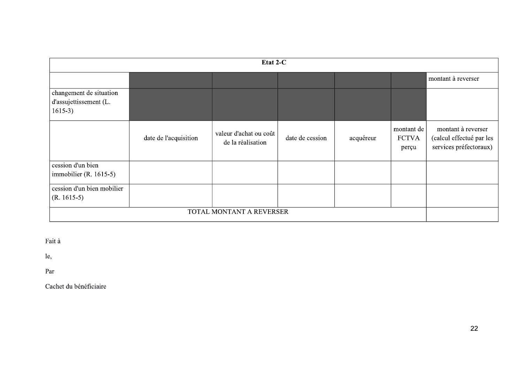| Etat 2-C                                                       |                       |                                             |                 |           |                                     |                                                                          |  |
|----------------------------------------------------------------|-----------------------|---------------------------------------------|-----------------|-----------|-------------------------------------|--------------------------------------------------------------------------|--|
|                                                                |                       |                                             |                 |           |                                     | montant à reverser                                                       |  |
| changement de situation<br>d'assujettissement (L.<br>$1615-3)$ |                       |                                             |                 |           |                                     |                                                                          |  |
|                                                                | date de l'acquisition | valeur d'achat ou coût<br>de la réalisation | date de cession | acquéreur | montant de<br><b>FCTVA</b><br>perçu | montant à reverser<br>(calcul effectué par les<br>services préfectoraux) |  |
| cession d'un bien                                              |                       |                                             |                 |           |                                     |                                                                          |  |
| immobilier (R. 1615-5)                                         |                       |                                             |                 |           |                                     |                                                                          |  |
| cession d'un bien mobilier                                     |                       |                                             |                 |           |                                     |                                                                          |  |
| $(R. 1615-5)$                                                  |                       |                                             |                 |           |                                     |                                                                          |  |
| TOTAL MONTANT A REVERSER                                       |                       |                                             |                 |           |                                     |                                                                          |  |

Fait à

le,

Par

Cachet du bénéficiaire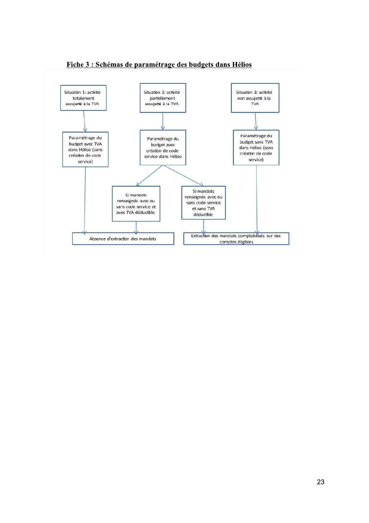

# Fiche 3 : Schémas de paramétrage des budgets dans Hélios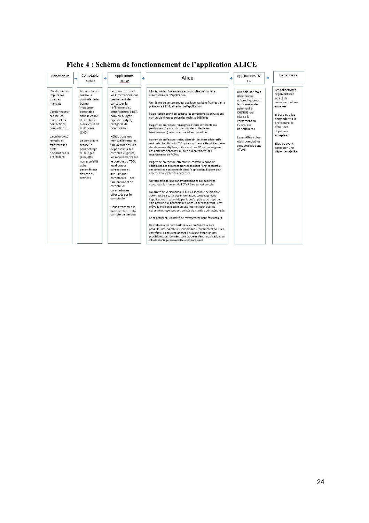| Bénéficiaire                                                                                                                                                                                                                  | Comptable<br>public                                                                                                                                                                                                                                                                                   | Applications<br>₿.<br><b>DGFIP</b>                                                                                                                                                                                                                                                                                                                                                                                                                                                                                                                                    | ŵ. | Alice                                                                                                                                                                                                                                                                                                                                                                                                                                                                                                                                                                                                                                                                                                                                                                                                                                                                                                                                                                                                                                                                                                                                                                                                                                                                                                                                                                                                                                                                                                                                                                                                                                                                                                                                                                                                                                                                              | 卟 | <b>Applications DG</b><br>FiP                                                                                                                                                                                                                         | nb. | Bénéficiaire                                                                                                                                                                                                                       |
|-------------------------------------------------------------------------------------------------------------------------------------------------------------------------------------------------------------------------------|-------------------------------------------------------------------------------------------------------------------------------------------------------------------------------------------------------------------------------------------------------------------------------------------------------|-----------------------------------------------------------------------------------------------------------------------------------------------------------------------------------------------------------------------------------------------------------------------------------------------------------------------------------------------------------------------------------------------------------------------------------------------------------------------------------------------------------------------------------------------------------------------|----|------------------------------------------------------------------------------------------------------------------------------------------------------------------------------------------------------------------------------------------------------------------------------------------------------------------------------------------------------------------------------------------------------------------------------------------------------------------------------------------------------------------------------------------------------------------------------------------------------------------------------------------------------------------------------------------------------------------------------------------------------------------------------------------------------------------------------------------------------------------------------------------------------------------------------------------------------------------------------------------------------------------------------------------------------------------------------------------------------------------------------------------------------------------------------------------------------------------------------------------------------------------------------------------------------------------------------------------------------------------------------------------------------------------------------------------------------------------------------------------------------------------------------------------------------------------------------------------------------------------------------------------------------------------------------------------------------------------------------------------------------------------------------------------------------------------------------------------------------------------------------------|---|-------------------------------------------------------------------------------------------------------------------------------------------------------------------------------------------------------------------------------------------------------|-----|------------------------------------------------------------------------------------------------------------------------------------------------------------------------------------------------------------------------------------|
| L'ordonnateur<br>Impute les<br>titres et<br>mandats<br>L'ordonnateur<br>réalise les<br>éventuelles<br>corrections.<br>annulations<br>La collectivité<br>remplit et<br>transmet les<br>états<br>déclaratifs à la<br>préfecture | Le comptable<br>réalise le<br>contrôle de la<br>bonne<br>imputation<br>comptable<br>dans le cadre<br>du contrôle<br>hiérarchisé de<br>la dépense<br>(CHD)<br>Le comptable<br>réalise le<br>paramétrage<br>du budget<br>(assujetti/<br>non assujetti)<br>et le<br>paramétrage<br>des codes<br>services | Bambou transmet<br>les informations qui<br>permettent de<br>constituer le<br>référentiel des<br>bénéficiaires: SIRET,<br>nom du budget.<br>type de budget.<br>catégorie de<br>bénéficiaire<br>Hélios transmet<br>mensuellement les<br>flux demandés: les<br>dépenses sur les<br>comptes éligibles.<br>les mouvements sur<br>le compte du TDD.<br>les diverses<br>correctionset<br>annulations<br>comptables - ces<br>flux prennent en<br>compte les<br>paramétrages<br>effectués par le<br>comptable<br>Hélios transmet la<br>date de clôture du<br>compte de gestion |    | L'intégrité des flux entrants est contrôlée de manière<br>automatisée par l'application<br>Un régime de versement est appliqué aux bénéficiaires par la<br>préfecture à l'initialisation de l'application<br>L'application prend en compte les corrections et annulations<br>comptable diverses selon des règles prédéfinies<br>L'agent de préfecture renseigne et traite différents cas<br>particuliers (fusions, dissolutions des collectivités<br>bénéficiaires) selon une procédure prédéfinie<br>L'agent de préfecture traite, si besoin, les états déclaratifs<br>résiduels. Soit il s'agit d'ED qui aboutissent à élargir l'assiette<br>des dépenses éligibles, soit ce sont des ED qui restreignent<br>l'assiette des dépenses, ou bien qui entrainent des<br>reversements de FCTVA<br>L'agent de préfecture effectue un contrôle a priori de<br>l'éligibilité des dépenses transmises dans l'onglet contrôle:<br>ces contrôles sont retracés dans l'application. L'agent peut<br>accepter ou rejeter des dépenses<br>Un taux est appliqué automatiquement aux dépenses<br>acceptées; le montant de FCTVA à verser est calculé<br>Un arrêté de versement du FCTVA est généré de manière<br>automatisée à partir des informations contenues dans<br>l'application: il est validé par le préfet puis est envoyé par<br>voie postale aux bénéficiaires. Dans un second temps, il est<br>prévu la mise en place d'un site internet pour que les<br>collectivités reçoivent ces arrêtés de manière dématérialisée<br>Le cas échéant, un arrêté de reversement peut être produit<br>Des tableaux de bord nationaux et préfectoraux sont<br>produits des indicateurs sont produits (notamment pour les<br>contrôles): ils peuvent donner lieu à une évolution des<br>procédures. Les données sont stockées dans l'application; un<br>silo de stockage sera réalisé ultérieurement |   | Une fois par mois.<br>Alice envoie<br>automatiquement<br>les données de<br>paiement à<br>CHORUS aui<br>réalise le<br>versement du<br><b>FCTVA aux</b><br>bénéficiaires<br>Les arrêtés et les<br>états comptables<br>sont stockés dans<br><b>ATLAS</b> |     | Les collectivités<br>recoivent leur<br>arrêté de<br>versement et ses<br>annexes<br>Si besoin, elles<br>demandent à la<br>préfecture le<br>détail des<br>dépenses<br>acceptées<br>Elles peuvent<br>contester une<br>dépense rejetée |

# Fiche 4 : Schéma de fonctionnement de l'application ALICE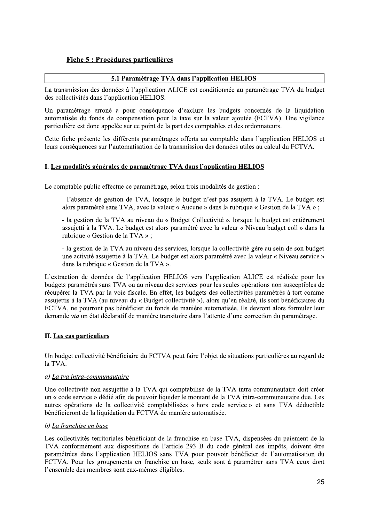# Fiche 5 : Procédures particulières

# 5.1 Paramétrage TVA dans l'application HELIOS

La transmission des données à l'application ALICE est conditionnée au paramétrage TVA du budget des collectivités dans l'application HELIOS.

Un paramétrage erroné a pour conséquence d'exclure les budgets concernés de la liquidation automatisée du fonds de compensation pour la taxe sur la valeur ajoutée (FCTVA). Une vigilance particulière est donc appelée sur ce point de la part des comptables et des ordonnateurs.

Cette fiche présente les différents paramétrages offerts au comptable dans l'application HELIOS et leurs conséquences sur l'automatisation de la transmission des données utiles au calcul du FCTVA.

### I. Les modalités générales de paramétrage TVA dans l'application HELIOS

Le comptable public effectue ce paramétrage, selon trois modalités de gestion :

- l'absence de gestion de TVA, lorsque le budget n'est pas assujetti à la TVA. Le budget est alors paramétré sans TVA, avec la valeur « Aucune » dans la rubrique « Gestion de la TVA »;

- la gestion de la TVA au niveau du « Budget Collectivité », lorsque le budget est entièrement assujetti à la TVA. Le budget est alors paramétré avec la valeur « Niveau budget coll » dans la rubrique « Gestion de la TVA »;

- la gestion de la TVA au niveau des services, lorsque la collectivité gère au sein de son budget une activité assujettie à la TVA. Le budget est alors paramétré avec la valeur « Niveau service » dans la rubrique « Gestion de la TVA ».

L'extraction de données de l'application HELIOS vers l'application ALICE est réalisée pour les budgets paramétrés sans TVA ou au niveau des services pour les seules opérations non susceptibles de récupérer la TVA par la voie fiscale. En effet, les budgets des collectivités paramétrés à tort comme assujettis à la TVA (au niveau du « Budget collectivité »), alors qu'en réalité, ils sont bénéficiaires du FCTVA, ne pourront pas bénéficier du fonds de manière automatisée. Ils devront alors formuler leur demande via un état déclaratif de manière transitoire dans l'attente d'une correction du paramétrage.

# II. Les cas particuliers

Un budget collectivité bénéficiaire du FCTVA peut faire l'objet de situations particulières au regard de la TVA.

### a) La tva intra-communautaire

Une collectivité non assujettie à la TVA qui comptabilise de la TVA intra-communautaire doit créer un « code service » dédié afin de pouvoir liquider le montant de la TVA intra-communautaire due. Les autres opérations de la collectivité comptabilisées « hors code service » et sans TVA déductible bénéficieront de la liquidation du FCTVA de manière automatisée.

# b) La franchise en base

Les collectivités territoriales bénéficiant de la franchise en base TVA, dispensées du paiement de la TVA conformément aux dispositions de l'article 293 B du code général des impôts, doivent être paramétrées dans l'application HELIOS sans TVA pour pouvoir bénéficier de l'automatisation du FCTVA. Pour les groupements en franchise en base, seuls sont à paramétrer sans TVA ceux dont l'ensemble des membres sont eux-mêmes éligibles.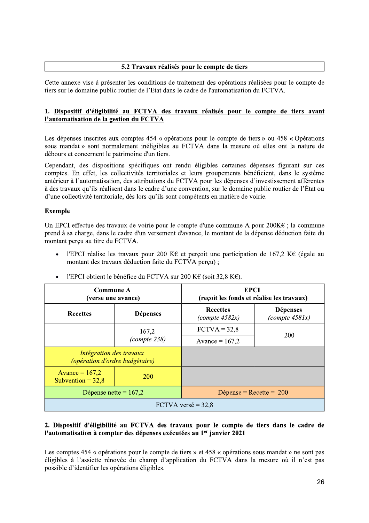### 5.2 Travaux réalisés pour le compte de tiers

Cette annexe vise à présenter les conditions de traitement des opérations réalisées pour le compte de tiers sur le domaine public routier de l'Etat dans le cadre de l'automatisation du FCTVA.

# 1. Dispositif d'éligibilité au FCTVA des travaux réalisés pour le compte de tiers avant l'automatisation de la gestion du FCTVA

Les dépenses inscrites aux comptes 454 « opérations pour le compte de tiers » ou 458 « Opérations sous mandat » sont normalement inéligibles au FCTVA dans la mesure où elles ont la nature de débours et concernent le patrimoine d'un tiers.

Cependant, des dispositions spécifiques ont rendu éligibles certaines dépenses figurant sur ces comptes. En effet, les collectivités territoriales et leurs groupements bénéficient, dans le système antérieur à l'automatisation, des attributions du FCTVA pour les dépenses d'investissement afférentes à des travaux qu'ils réalisent dans le cadre d'une convention, sur le domaine public routier de l'État ou d'une collectivité territoriale, dès lors qu'ils sont compétents en matière de voirie.

# **Exemple**

Un EPCI effectue des travaux de voirie pour le compte d'une commune A pour  $200K\epsilon$ ; la commune prend à sa charge, dans le cadre d'un versement d'avance, le montant de la dépense déduction faite du montant perçu au titre du FCTVA.

l'EPCI réalise les travaux pour 200 KE et perçoit une participation de 167,2 KE (égale au montant des travaux déduction faite du FCTVA perçu);

| Commune A<br>(verse une avance)                           |               | <b>EPCI</b><br>(reçoit les fonds et réalise les travaux) |                                     |  |  |
|-----------------------------------------------------------|---------------|----------------------------------------------------------|-------------------------------------|--|--|
| <b>Recettes</b><br><b>Dépenses</b>                        |               | <b>Recettes</b><br>$(compute\ 4582x)$                    | <b>Dépenses</b><br>(complete 4581x) |  |  |
|                                                           | 167,2         | $\text{FCTVA} = 32.8$                                    | <b>200</b>                          |  |  |
|                                                           | (compute 238) | Avance = $167,2$                                         |                                     |  |  |
| Intégration des travaux<br>(opération d'ordre budgétaire) |               |                                                          |                                     |  |  |
| Avance = $167,2$<br>Subvention = $32,8$                   | <b>200</b>    |                                                          |                                     |  |  |
| Dépense nette = $167,2$                                   |               | Dépense = $Recette = 200$                                |                                     |  |  |
|                                                           |               | FCTVA versé = $32,8$                                     |                                     |  |  |

l'EPCI obtient le bénéfice du FCTVA sur 200 K€ (soit 32,8 K€).  $\bullet$ 

### 2. Dispositif d'éligibilité au FCTVA des travaux pour le compte de tiers dans le cadre de l'automatisation à compter des dépenses exécutées au 1<sup>er</sup> janvier 2021

Les comptes 454 « opérations pour le compte de tiers » et 458 « opérations sous mandat » ne sont pas éligibles à l'assiette rénovée du champ d'application du FCTVA dans la mesure où il n'est pas possible d'identifier les opérations éligibles.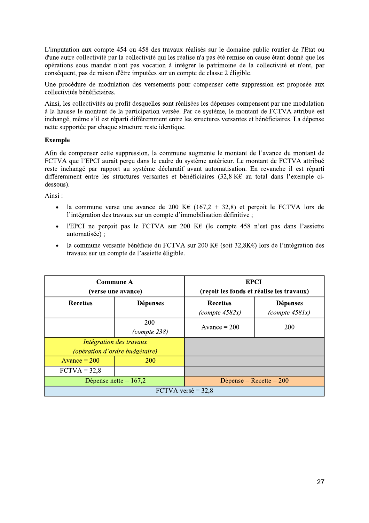L'imputation aux compte 454 ou 458 des travaux réalisés sur le domaine public routier de l'Etat ou d'une autre collectivité par la collectivité qui les réalise n'a pas été remise en cause étant donné que les opérations sous mandat n'ont pas vocation à intégrer le patrimoine de la collectivité et n'ont, par conséquent, pas de raison d'être imputées sur un compte de classe 2 éligible.

Une procédure de modulation des versements pour compenser cette suppression est proposée aux collectivités bénéficiaires.

Ainsi, les collectivités au profit desquelles sont réalisées les dépenses compensent par une modulation à la hausse le montant de la participation versée. Par ce système, le montant de FCTVA attribué est inchangé, même s'il est réparti différemment entre les structures versantes et bénéficiaires. La dépense nette supportée par chaque structure reste identique.

### **Exemple**

Afin de compenser cette suppression, la commune augmente le montant de l'avance du montant de FCTVA que l'EPCI aurait perçu dans le cadre du système antérieur. Le montant de FCTVA attribué reste inchangé par rapport au système déclaratif avant automatisation. En revanche il est réparti différemment entre les structures versantes et bénéficiaires (32,8 K€ au total dans l'exemple cidessous).

Ainsi:

- la commune verse une avance de 200 K€ (167,2 + 32,8) et perçoit le FCTVA lors de  $\bullet$ l'intégration des travaux sur un compte d'immobilisation définitive ;
- l'EPCI ne perçoit pas le FCTVA sur 200 K $\epsilon$  (le compte 458 n'est pas dans l'assiette  $\bullet$ automatisée) ;
- la commune versante bénéficie du FCTVA sur 200 K€ (soit 32,8K€) lors de l'intégration des  $\bullet$ travaux sur un compte de l'assiette éligible.

| Commune A<br>(verse une avance) |                                | <b>EPCI</b><br>(reçoit les fonds et réalise les travaux) |                                     |  |  |
|---------------------------------|--------------------------------|----------------------------------------------------------|-------------------------------------|--|--|
| <b>Recettes</b>                 | <b>Dépenses</b>                | <b>Recettes</b><br>$(compute\ 4582x)$                    | <b>Dépenses</b><br>(complete 4581x) |  |  |
|                                 | 200<br>(compute 238)           | Avance $= 200$                                           | 200                                 |  |  |
| Intégration des travaux         |                                |                                                          |                                     |  |  |
|                                 | (opération d'ordre budgétaire) |                                                          |                                     |  |  |
| Avance $= 200$                  | <b>200</b>                     |                                                          |                                     |  |  |
| $\text{FCTVA} = 32.8$           |                                |                                                          |                                     |  |  |
|                                 | Dépense nette = $167,2$        | Dépense = $Recette = 200$                                |                                     |  |  |
| FCTVA versé = $32,8$            |                                |                                                          |                                     |  |  |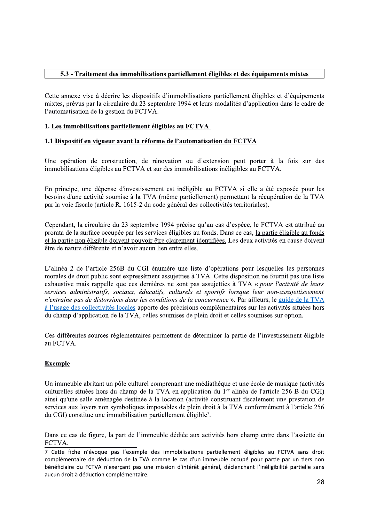# 5.3 - Traitement des immobilisations partiellement éligibles et des équipements mixtes

Cette annexe vise à décrire les dispositifs d'immobilisations partiellement éligibles et d'équipements mixtes, prévus par la circulaire du 23 septembre 1994 et leurs modalités d'application dans le cadre de l'automatisation de la gestion du FCTVA.

# 1. Les immobilisations partiellement éligibles au FCTVA

### 1.1 Dispositif en vigueur avant la réforme de l'automatisation du FCTVA

Une opération de construction, de rénovation ou d'extension peut porter à la fois sur des immobilisations éligibles au FCTVA et sur des immobilisations inéligibles au FCTVA.

En principe, une dépense d'investissement est inéligible au FCTVA si elle a été exposée pour les besoins d'une activité soumise à la TVA (même partiellement) permettant la récupération de la TVA par la voie fiscale (article R. 1615-2 du code général des collectivités territoriales).

Cependant, la circulaire du 23 septembre 1994 précise qu'au cas d'espèce, le FCTVA est attribué au prorata de la surface occupée par les services éligibles au fonds. Dans ce cas, la partie éligible au fonds et la partie non éligible doivent pouvoir être clairement identifiées. Les deux activités en cause doivent être de nature différente et n'avoir aucun lien entre elles.

L'alinéa 2 de l'article 256B du CGI énumère une liste d'opérations pour lesquelles les personnes morales de droit public sont expressément assujetties à TVA. Cette disposition ne fournit pas une liste exhaustive mais rappelle que ces dernières ne sont pas assujetties à TVA « pour l'activité de leurs services administratifs, sociaux, éducatifs, culturels et sportifs lorsque leur non-assujettissement n'entraîne pas de distorsions dans les conditions de la concurrence ». Par ailleurs, le guide de la TVA à l'usage des collectivités locales apporte des précisions complémentaires sur les activités situées hors du champ d'application de la TVA, celles soumises de plein droit et celles soumises sur option.

Ces différentes sources réglementaires permettent de déterminer la partie de l'investissement éligible au FCTVA.

# **Exemple**

Un immeuble abritant un pôle culturel comprenant une médiathèque et une école de musique (activités culturelles situées hors du champ de la TVA en application du 1<sup>er</sup> alinéa de l'article 256 B du CGI) ainsi qu'une salle aménagée destinée à la location (activité constituant fiscalement une prestation de services aux loyers non symboliques imposables de plein droit à la TVA conformément à l'article 256 du CGI) constitue une immobilisation partiellement éligible<sup>7</sup>.

Dans ce cas de figure, la part de l'immeuble dédiée aux activités hors champ entre dans l'assiette du FCTVA.

<sup>7</sup> Cette fiche n'évoque pas l'exemple des immobilisations partiellement éligibles au FCTVA sans droit complémentaire de déduction de la TVA comme le cas d'un immeuble occupé pour partie par un tiers non bénéficiaire du FCTVA n'exercant pas une mission d'intérêt général, déclenchant l'inéligibilité partielle sans aucun droit à déduction complémentaire.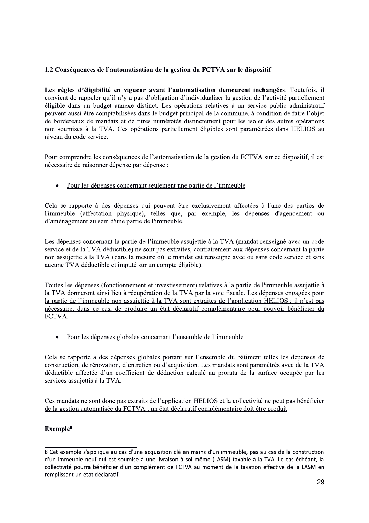# 1.2 Conséquences de l'automatisation de la gestion du FCTVA sur le dispositif

Les règles d'éligibilité en vigueur avant l'automatisation demeurent inchangées. Toutefois, il convient de rappeler qu'il n'y a pas d'obligation d'individualiser la gestion de l'activité partiellement éligible dans un budget annexe distinct. Les opérations relatives à un service public administratif peuvent aussi être comptabilisées dans le budget principal de la commune, à condition de faire l'objet de bordereaux de mandats et de titres numérotés distinctement pour les isoler des autres opérations non soumises à la TVA. Ces opérations partiellement éligibles sont paramétrées dans HELIOS au niveau du code service.

Pour comprendre les conséquences de l'automatisation de la gestion du FCTVA sur ce dispositif, il est nécessaire de raisonner dépense par dépense :

• Pour les dépenses concernant seulement une partie de l'immeuble

Cela se rapporte à des dépenses qui peuvent être exclusivement affectées à l'une des parties de l'immeuble (affectation physique), telles que, par exemple, les dépenses d'agencement ou d'aménagement au sein d'une partie de l'immeuble.

Les dépenses concernant la partie de l'immeuble assujettie à la TVA (mandat renseigné avec un code service et de la TVA déductible) ne sont pas extraites, contrairement aux dépenses concernant la partie non assujettie à la TVA (dans la mesure où le mandat est renseigné avec ou sans code service et sans aucune TVA déductible et imputé sur un compte éligible).

Toutes les dépenses (fonctionnement et investissement) relatives à la partie de l'immeuble assujettie à la TVA donneront ainsi lieu à récupération de la TVA par la voie fiscale. Les dépenses engagées pour la partie de l'immeuble non assujettie à la TVA sont extraites de l'application HELIOS ; il n'est pas nécessaire, dans ce cas, de produire un état déclaratif complémentaire pour pouvoir bénéficier du FCTVA.

Pour les dépenses globales concernant l'ensemble de l'immeuble  $\bullet$ 

Cela se rapporte à des dépenses globales portant sur l'ensemble du bâtiment telles les dépenses de construction, de rénovation, d'entretien ou d'acquisition. Les mandats sont paramétrés avec de la TVA déductible affectée d'un coefficient de déduction calculé au prorata de la surface occupée par les services assujettis à la TVA.

Ces mandats ne sont donc pas extraits de l'application HELIOS et la collectivité ne peut pas bénéficier de la gestion automatisée du FCTVA ; un état déclaratif complémentaire doit être produit

# Exemple<sup>8</sup>

<sup>8</sup> Cet exemple s'applique au cas d'une acquisition clé en mains d'un immeuble, pas au cas de la construction d'un immeuble neuf qui est soumise à une livraison à soi-même (LASM) taxable à la TVA. Le cas échéant, la collectivité pourra bénéficier d'un complément de FCTVA au moment de la taxation effective de la LASM en remplissant un état déclaratif.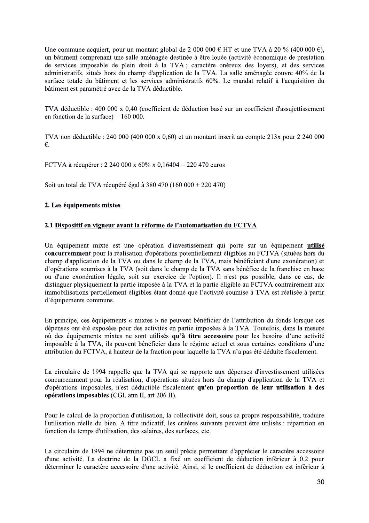Une commune acquiert, pour un montant global de 2 000 000  $\epsilon$  HT et une TVA à 20 % (400 000  $\epsilon$ ), un bâtiment comprenant une salle aménagée destinée à être louée (activité économique de prestation de services imposable de plein droit à la TVA ; caractère onéreux des loyers), et des services administratifs, situés hors du champ d'application de la TVA. La salle aménagée couvre 40% de la surface totale du bâtiment et les services administratifs 60%. Le mandat relatif à l'acquisition du bâtiment est paramétré avec de la TVA déductible.

TVA déductible : 400 000 x 0,40 (coefficient de déduction basé sur un coefficient d'assujettissement en fonction de la surface $) = 160000$ .

TVA non déductible : 240 000 (400 000 x 0,60) et un montant inscrit au compte 213x pour 2 240 000  $\epsilon$ .

FCTVA à récupérer : 2 240 000 x 60% x 0,16404 = 220 470 euros

Soit un total de TVA récupéré égal à 380 470 (160 000 + 220 470)

### 2. Les équipements mixtes

### 2.1 Dispositif en vigueur avant la réforme de l'automatisation du FCTVA

Un équipement mixte est une opération d'investissement qui porte sur un équipement **utilisé** concurremment pour la réalisation d'opérations potentiellement éligibles au FCTVA (situées hors du champ d'application de la TVA ou dans le champ de la TVA, mais bénéficiant d'une exonération) et d'opérations soumises à la TVA (soit dans le champ de la TVA sans bénéfice de la franchise en base ou d'une exonération légale, soit sur exercice de l'option). Il n'est pas possible, dans ce cas, de distinguer physiquement la partie imposée à la TVA et la partie éligible au FCTVA contrairement aux immobilisations partiellement éligibles étant donné que l'activité soumise à TVA est réalisée à partir d'équipements communs.

En principe, ces équipements « mixtes » ne peuvent bénéficier de l'attribution du fonds lorsque ces dépenses ont été exposées pour des activités en partie imposées à la TVA. Toutefois, dans la mesure où des équipements mixtes ne sont utilisés qu'à titre accessoire pour les besoins d'une activité imposable à la TVA, ils peuvent bénéficier dans le régime actuel et sous certaines conditions d'une attribution du FCTVA, à hauteur de la fraction pour laquelle la TVA n'a pas été déduite fiscalement.

La circulaire de 1994 rappelle que la TVA qui se rapporte aux dépenses d'investissement utilisées concurremment pour la réalisation, d'opérations situées hors du champ d'application de la TVA et d'opérations imposables, n'est déductible fiscalement qu'en proportion de leur utilisation à des opérations imposables (CGI, ann II, art 206 II).

Pour le calcul de la proportion d'utilisation, la collectivité doit, sous sa propre responsabilité, traduire l'utilisation réelle du bien. A titre indicatif, les critères suivants peuvent être utilisés : répartition en fonction du temps d'utilisation, des salaires, des surfaces, etc.

La circulaire de 1994 ne détermine pas un seuil précis permettant d'apprécier le caractère accessoire d'une activité. La doctrine de la DGCL a fixé un coefficient de déduction inférieur à 0,2 pour déterminer le caractère accessoire d'une activité. Ainsi, si le coefficient de déduction est inférieur à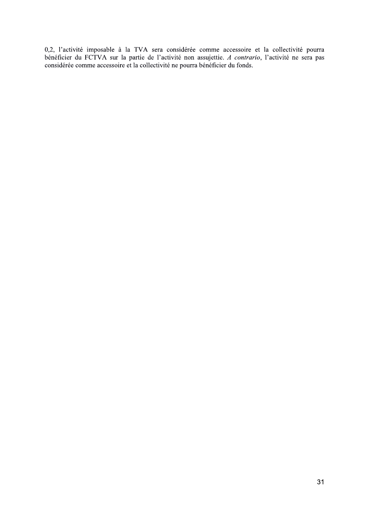0,2, l'activité imposable à la TVA sera considérée comme accessoire et la collectivité pourra bénéficier du FCTVA sur la partie de l'activité non assujettie. A contrario, l'activité ne sera pas considérée comme accessoire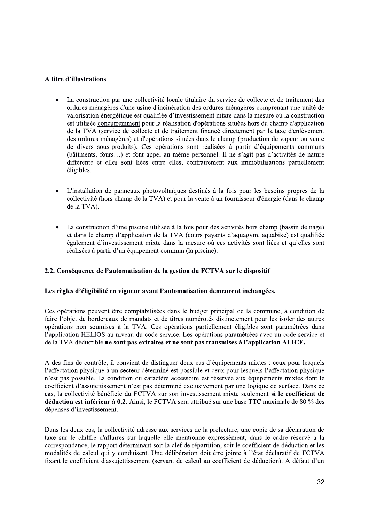### A titre d'illustrations

- La construction par une collectivité locale titulaire du service de collecte et de traitement des ordures ménagères d'une usine d'incinération des ordures ménagères comprenant une unité de valorisation énergétique est qualifiée d'investissement mixte dans la mesure où la construction est utilisée concurremment pour la réalisation d'opérations situées hors du champ d'application de la TVA (service de collecte et de traitement financé directement par la taxe d'enlèvement des ordures ménagères) et d'opérations situées dans le champ (production de vapeur ou vente de divers sous-produits). Ces opérations sont réalisées à partir d'équipements communs (bâtiments, fours...) et font appel au même personnel. Il ne s'agit pas d'activités de nature différente et elles sont liées entre elles, contrairement aux immobilisations partiellement éligibles.
- L'installation de panneaux photovoltaïques destinés à la fois pour les besoins propres de la collectivité (hors champ de la TVA) et pour la vente à un fournisseur d'énergie (dans le champ de la TVA).
- La construction d'une piscine utilisée à la fois pour des activités hors champ (bassin de nage)  $\bullet$ et dans le champ d'application de la TVA (cours payants d'aquagym, aquabike) est qualifiée également d'investissement mixte dans la mesure où ces activités sont liées et qu'elles sont réalisées à partir d'un équipement commun (la piscine).

# 2.2. Conséquence de l'automatisation de la gestion du FCTVA sur le dispositif

### Les règles d'éligibilité en vigueur avant l'automatisation demeurent inchangées.

Ces opérations peuvent être comptabilisées dans le budget principal de la commune, à condition de faire l'objet de bordereaux de mandats et de titres numérotés distinctement pour les isoler des autres opérations non soumises à la TVA. Ces opérations partiellement éligibles sont paramétrées dans l'application HELIOS au niveau du code service. Les opérations paramétrées avec un code service et de la TVA déductible ne sont pas extraites et ne sont pas transmises à l'application ALICE.

A des fins de contrôle, il convient de distinguer deux cas d'équipements mixtes : ceux pour lesquels l'affectation physique à un secteur déterminé est possible et ceux pour lesquels l'affectation physique n'est pas possible. La condition du caractère accessoire est réservée aux équipements mixtes dont le coefficient d'assujettissement n'est pas déterminé exclusivement par une logique de surface. Dans ce cas, la collectivité bénéficie du FCTVA sur son investissement mixte seulement si le coefficient de déduction est inférieur à 0,2. Ainsi, le FCTVA sera attribué sur une base TTC maximale de 80 % des dépenses d'investissement.

Dans les deux cas, la collectivité adresse aux services de la préfecture, une copie de sa déclaration de taxe sur le chiffre d'affaires sur laquelle elle mentionne expressément, dans le cadre réservé à la correspondance, le rapport déterminant soit la clef de répartition, soit le coefficient de déduction et les modalités de calcul qui y conduisent. Une délibération doit être jointe à l'état déclaratif de FCTVA fixant le coefficient d'assujettissement (servant de calcul au coefficient de déduction). A défaut d'un